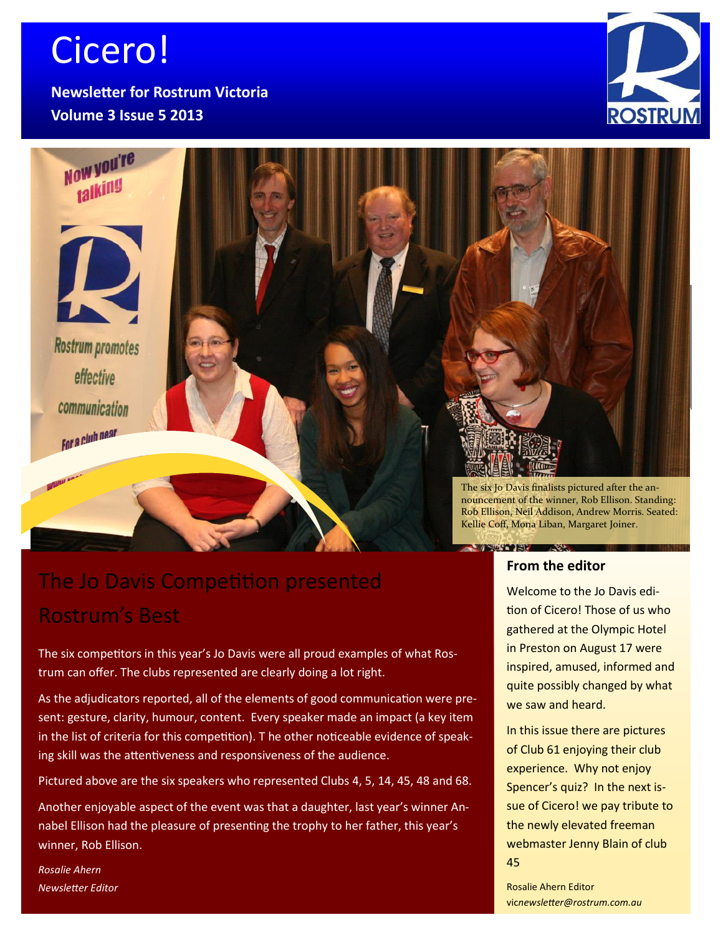# Cicero!

**Newsletter for Rostrum Victoria Volume 3 Issue 5 2013**





# The Jo Davis Competition presented Rostrum's Best

The six competitors in this year's Jo Davis were all proud examples of what Rostrum can offer. The clubs represented are clearly doing a lot right.

As the adjudicators reported, all of the elements of good communication were present: gesture, clarity, humour, content. Every speaker made an impact (a key item in the list of criteria for this competition). T he other noticeable evidence of speaking skill was the attentiveness and responsiveness of the audience.

Pictured above are the six speakers who represented Clubs 4, 5, 14, 45, 48 and 68.

Another enjoyable aspect of the event was that a daughter, last year's winner Annabel Ellison had the pleasure of presenting the trophy to her father, this year's winner, Rob Ellison.

*Rosalie Ahern Newsletter Editor* **From the editor**

**WEST REE** 

Welcome to the Jo Davis edition of Cicero! Those of us who gathered at the Olympic Hotel in Preston on August 17 were inspired, amused, informed and quite possibly changed by what we saw and heard.

In this issue there are pictures of Club 61 enjoying their club experience. Why not enjoy Spencer's quiz? In the next issue of Cicero! we pay tribute to the newly elevated freeman webmaster Jenny Blain of club 45

Rosalie Ahern Editor vic*newsletter@rostrum.com.au*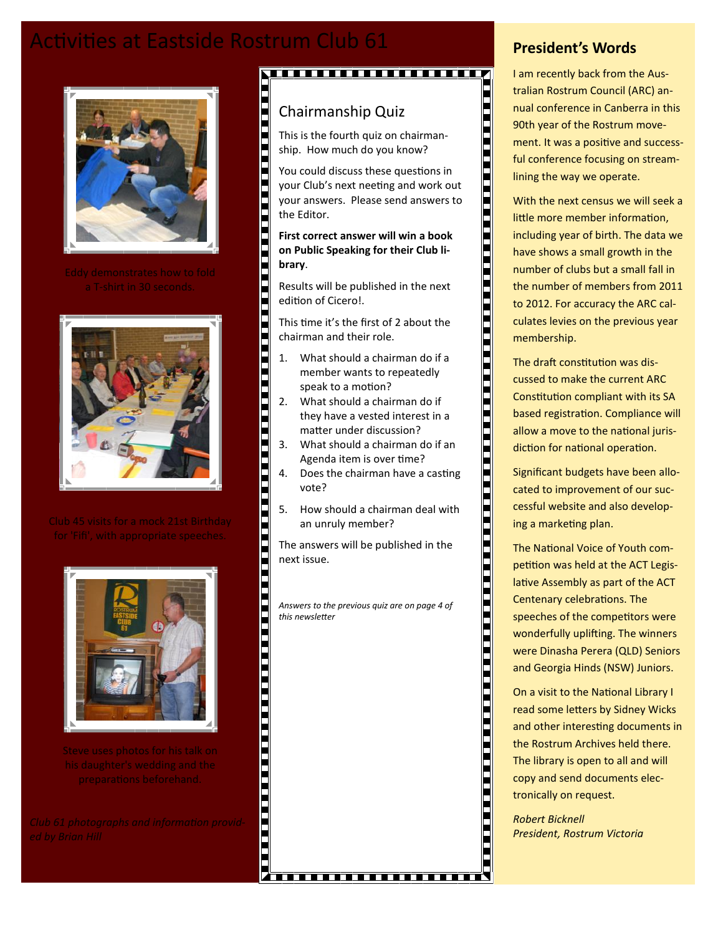# Activities at Eastside Rostrum Club 61



a T-shirt in 30 seconds.





his daughter's wedding and the

#### 

#### Chairmanship Quiz

This is the fourth quiz on chairmanship. How much do you know?

You could discuss these questions in your Club's next neeting and work out your answers. Please send answers to the Editor.

#### **First correct answer will win a book on Public Speaking for their Club library**.

Results will be published in the next edition of Cicero!.

This time it's the first of 2 about the chairman and their role.

- 1. What should a chairman do if a member wants to repeatedly speak to a motion?
- 2. What should a chairman do if they have a vested interest in a matter under discussion?
- 3. What should a chairman do if an Agenda item is over time?
- 4. Does the chairman have a casting vote?
- 5. How should a chairman deal with an unruly member?

The answers will be published in the next issue.

E

*Answers to the previous quiz are on page 4 of this newsletter*

. . . . . . . . . . . . . . . . .

#### **President's Words**

I am recently back from the Australian Rostrum Council (ARC) annual conference in Canberra in this 90th year of the Rostrum movement. It was a positive and successful conference focusing on streamlining the way we operate.

With the next census we will seek a little more member information, including year of birth. The data we have shows a small growth in the number of clubs but a small fall in the number of members from 2011 to 2012. For accuracy the ARC calculates levies on the previous year membership.

The draft constitution was discussed to make the current ARC Constitution compliant with its SA based registration. Compliance will allow a move to the national jurisdiction for national operation.

Significant budgets have been allocated to improvement of our successful website and also developing a marketing plan.

The National Voice of Youth competition was held at the ACT Legislative Assembly as part of the ACT Centenary celebrations. The speeches of the competitors were wonderfully uplifting. The winners were Dinasha Perera (QLD) Seniors and Georgia Hinds (NSW) Juniors.

On a visit to the National Library I read some letters by Sidney Wicks and other interesting documents in the Rostrum Archives held there. The library is open to all and will copy and send documents electronically on request.

*Robert Bicknell President, Rostrum Victoria*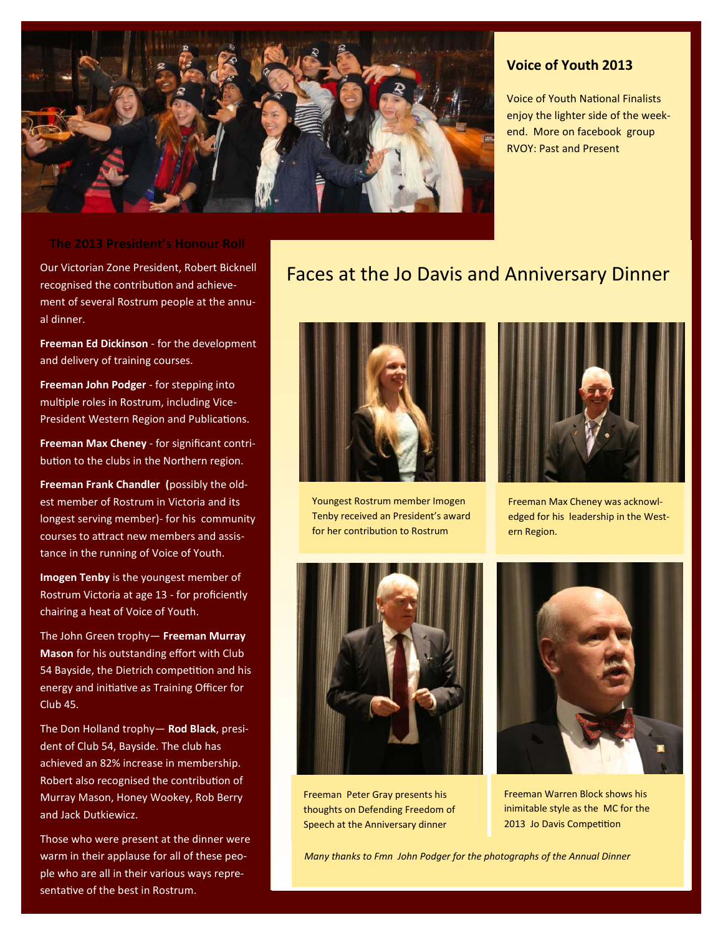

#### **Voice of Youth 2013**

Voice of Youth National Finalists enjoy the lighter side of the weekend. More on facebook group RVOY: Past and Present

#### **The 2013 President's Honour Roll**

Our Victorian Zone President, Robert Bicknell recognised the contribution and achievement of several Rostrum people at the annual dinner.

**Freeman Ed Dickinson** - for the development and delivery of training courses.

**Freeman John Podger** - for stepping into multiple roles in Rostrum, including Vice-President Western Region and Publications.

**Freeman Max Cheney** - for significant contribution to the clubs in the Northern region.

**Freeman Frank Chandler (**possibly the oldest member of Rostrum in Victoria and its longest serving member)- for his community courses to attract new members and assistance in the running of Voice of Youth.

**Imogen Tenby** is the youngest member of Rostrum Victoria at age 13 - for proficiently chairing a heat of Voice of Youth.

The John Green trophy— **Freeman Murray Mason** for his outstanding effort with Club 54 Bayside, the Dietrich competition and his energy and initiative as Training Officer for Club 45.

The Don Holland trophy— **Rod Black**, president of Club 54, Bayside. The club has achieved an 82% increase in membership. Robert also recognised the contribution of Murray Mason, Honey Wookey, Rob Berry and Jack Dutkiewicz.

Those who were present at the dinner were warm in their applause for all of these people who are all in their various ways representative of the best in Rostrum.

## Faces at the Jo Davis and Anniversary Dinner



Youngest Rostrum member Imogen Tenby received an President's award for her contribution to Rostrum



Freeman Max Cheney was acknowledged for his leadership in the Western Region.



Freeman Peter Gray presents his thoughts on Defending Freedom of Speech at the Anniversary dinner



Freeman Warren Block shows his inimitable style as the MC for the 2013 Jo Davis Competition

*Many thanks to Fmn John Podger for the photographs of the Annual Dinner*